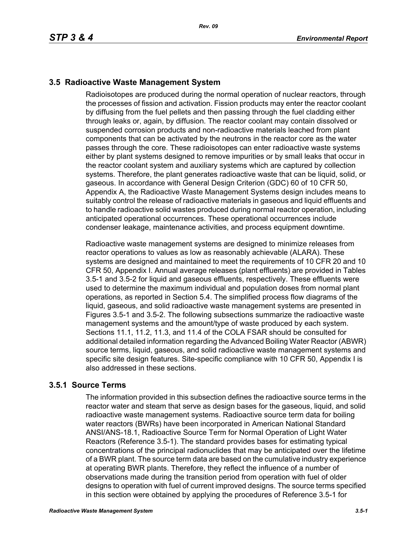# **3.5 Radioactive Waste Management System**

Radioisotopes are produced during the normal operation of nuclear reactors, through the processes of fission and activation. Fission products may enter the reactor coolant by diffusing from the fuel pellets and then passing through the fuel cladding either through leaks or, again, by diffusion. The reactor coolant may contain dissolved or suspended corrosion products and non-radioactive materials leached from plant components that can be activated by the neutrons in the reactor core as the water passes through the core. These radioisotopes can enter radioactive waste systems either by plant systems designed to remove impurities or by small leaks that occur in the reactor coolant system and auxiliary systems which are captured by collection systems. Therefore, the plant generates radioactive waste that can be liquid, solid, or gaseous. In accordance with General Design Criterion (GDC) 60 of 10 CFR 50, Appendix A, the Radioactive Waste Management Systems design includes means to suitably control the release of radioactive materials in gaseous and liquid effluents and to handle radioactive solid wastes produced during normal reactor operation, including anticipated operational occurrences. These operational occurrences include condenser leakage, maintenance activities, and process equipment downtime.

Radioactive waste management systems are designed to minimize releases from reactor operations to values as low as reasonably achievable (ALARA). These systems are designed and maintained to meet the requirements of 10 CFR 20 and 10 CFR 50, Appendix I. Annual average releases (plant effluents) are provided in Tables 3.5-1 and 3.5-2 for liquid and gaseous effluents, respectively. These effluents were used to determine the maximum individual and population doses from normal plant operations, as reported in Section 5.4. The simplified process flow diagrams of the liquid, gaseous, and solid radioactive waste management systems are presented in Figures 3.5-1 and 3.5-2. The following subsections summarize the radioactive waste management systems and the amount/type of waste produced by each system. Sections 11.1, 11.2, 11.3, and 11.4 of the COLA FSAR should be consulted for additional detailed information regarding the Advanced Boiling Water Reactor (ABWR) source terms, liquid, gaseous, and solid radioactive waste management systems and specific site design features. Site-specific compliance with 10 CFR 50, Appendix I is also addressed in these sections.

# **3.5.1 Source Terms**

The information provided in this subsection defines the radioactive source terms in the reactor water and steam that serve as design bases for the gaseous, liquid, and solid radioactive waste management systems. Radioactive source term data for boiling water reactors (BWRs) have been incorporated in American National Standard ANSI/ANS-18.1, Radioactive Source Term for Normal Operation of Light Water Reactors (Reference 3.5-1). The standard provides bases for estimating typical concentrations of the principal radionuclides that may be anticipated over the lifetime of a BWR plant. The source term data are based on the cumulative industry experience at operating BWR plants. Therefore, they reflect the influence of a number of observations made during the transition period from operation with fuel of older designs to operation with fuel of current improved designs. The source terms specified in this section were obtained by applying the procedures of Reference 3.5-1 for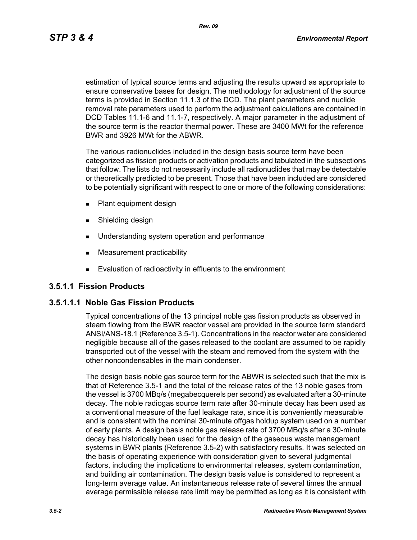*Rev. 09*

estimation of typical source terms and adjusting the results upward as appropriate to ensure conservative bases for design. The methodology for adjustment of the source terms is provided in Section 11.1.3 of the DCD. The plant parameters and nuclide removal rate parameters used to perform the adjustment calculations are contained in DCD Tables 11.1-6 and 11.1-7, respectively. A major parameter in the adjustment of the source term is the reactor thermal power. These are 3400 MWt for the reference BWR and 3926 MWt for the ABWR.

The various radionuclides included in the design basis source term have been categorized as fission products or activation products and tabulated in the subsections that follow. The lists do not necessarily include all radionuclides that may be detectable or theoretically predicted to be present. Those that have been included are considered to be potentially significant with respect to one or more of the following considerations:

- **Plant equipment design**
- **Burnelling design**
- **Understanding system operation and performance**
- **Measurement practicability**
- **Evaluation of radioactivity in effluents to the environment**

# **3.5.1.1 Fission Products**

# **3.5.1.1.1 Noble Gas Fission Products**

Typical concentrations of the 13 principal noble gas fission products as observed in steam flowing from the BWR reactor vessel are provided in the source term standard ANSI/ANS-18.1 (Reference 3.5-1). Concentrations in the reactor water are considered negligible because all of the gases released to the coolant are assumed to be rapidly transported out of the vessel with the steam and removed from the system with the other noncondensables in the main condenser.

The design basis noble gas source term for the ABWR is selected such that the mix is that of Reference 3.5-1 and the total of the release rates of the 13 noble gases from the vessel is 3700 MBq/s (megabecquerels per second) as evaluated after a 30-minute decay. The noble radiogas source term rate after 30-minute decay has been used as a conventional measure of the fuel leakage rate, since it is conveniently measurable and is consistent with the nominal 30-minute offgas holdup system used on a number of early plants. A design basis noble gas release rate of 3700 MBq/s after a 30-minute decay has historically been used for the design of the gaseous waste management systems in BWR plants (Reference 3.5-2) with satisfactory results. It was selected on the basis of operating experience with consideration given to several judgmental factors, including the implications to environmental releases, system contamination, and building air contamination. The design basis value is considered to represent a long-term average value. An instantaneous release rate of several times the annual average permissible release rate limit may be permitted as long as it is consistent with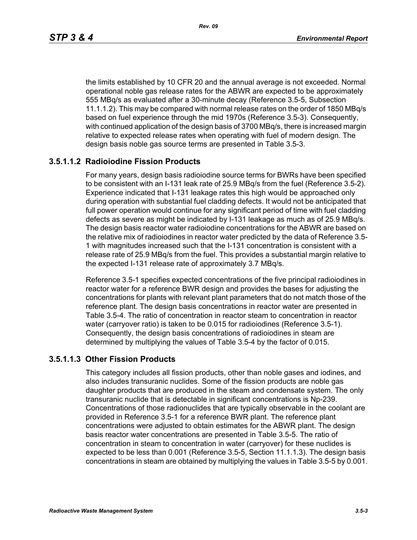the limits established by 10 CFR 20 and the annual average is not exceeded. Normal operational noble gas release rates for the ABWR are expected to be approximately 555 MBq/s as evaluated after a 30-minute decay (Reference 3.5-5, Subsection 11.1.1.2). This may be compared with normal release rates on the order of 1850 MBq/s based on fuel experience through the mid 1970s (Reference 3.5-3). Consequently, with continued application of the design basis of 3700 MBq/s, there is increased margin relative to expected release rates when operating with fuel of modern design. The design basis noble gas source terms are presented in Table 3.5-3.

# **3.5.1.1.2 Radioiodine Fission Products**

For many years, design basis radioiodine source terms for BWRs have been specified to be consistent with an I-131 leak rate of 25.9 MBq/s from the fuel (Reference 3.5-2). Experience indicated that I-131 leakage rates this high would be approached only during operation with substantial fuel cladding defects. It would not be anticipated that full power operation would continue for any significant period of time with fuel cladding defects as severe as might be indicated by I-131 leakage as much as of 25.9 MBq/s. The design basis reactor water radioiodine concentrations for the ABWR are based on the relative mix of radioiodines in reactor water predicted by the data of Reference 3.5- 1 with magnitudes increased such that the I-131 concentration is consistent with a release rate of 25.9 MBq/s from the fuel. This provides a substantial margin relative to the expected I-131 release rate of approximately 3.7 MBq/s.

Reference 3.5-1 specifies expected concentrations of the five principal radioiodines in reactor water for a reference BWR design and provides the bases for adjusting the concentrations for plants with relevant plant parameters that do not match those of the reference plant. The design basis concentrations in reactor water are presented in Table 3.5-4. The ratio of concentration in reactor steam to concentration in reactor water (carryover ratio) is taken to be 0.015 for radioiodines (Reference 3.5-1). Consequently, the design basis concentrations of radioiodines in steam are determined by multiplying the values of Table 3.5-4 by the factor of 0.015.

#### **3.5.1.1.3 Other Fission Products**

This category includes all fission products, other than noble gases and iodines, and also includes transuranic nuclides. Some of the fission products are noble gas daughter products that are produced in the steam and condensate system. The only transuranic nuclide that is detectable in significant concentrations is Np-239. Concentrations of those radionuclides that are typically observable in the coolant are provided in Reference 3.5-1 for a reference BWR plant. The reference plant concentrations were adjusted to obtain estimates for the ABWR plant. The design basis reactor water concentrations are presented in Table 3.5-5. The ratio of concentration in steam to concentration in water (carryover) for these nuclides is expected to be less than 0.001 (Reference 3.5-5, Section 11.1.1.3). The design basis concentrations in steam are obtained by multiplying the values in Table 3.5-5 by 0.001.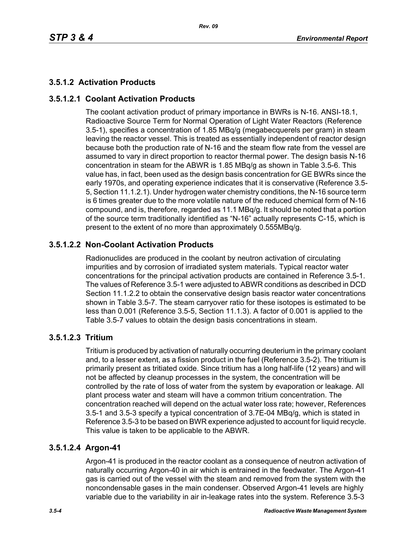# **3.5.1.2 Activation Products**

# **3.5.1.2.1 Coolant Activation Products**

The coolant activation product of primary importance in BWRs is N-16. ANSI-18.1, Radioactive Source Term for Normal Operation of Light Water Reactors (Reference 3.5-1), specifies a concentration of 1.85 MBq/g (megabecquerels per gram) in steam leaving the reactor vessel. This is treated as essentially independent of reactor design because both the production rate of N-16 and the steam flow rate from the vessel are assumed to vary in direct proportion to reactor thermal power. The design basis N-16 concentration in steam for the ABWR is 1.85 MBq/g as shown in Table 3.5-6. This value has, in fact, been used as the design basis concentration for GE BWRs since the early 1970s, and operating experience indicates that it is conservative (Reference 3.5- 5, Section 11.1.2.1). Under hydrogen water chemistry conditions, the N-16 source term is 6 times greater due to the more volatile nature of the reduced chemical form of N-16 compound, and is, therefore, regarded as 11.1 MBq/g. It should be noted that a portion of the source term traditionally identified as "N-16" actually represents C-15, which is present to the extent of no more than approximately 0.555MBq/g.

# **3.5.1.2.2 Non-Coolant Activation Products**

Radionuclides are produced in the coolant by neutron activation of circulating impurities and by corrosion of irradiated system materials. Typical reactor water concentrations for the principal activation products are contained in Reference 3.5-1. The values of Reference 3.5-1 were adjusted to ABWR conditions as described in DCD Section 11.1.2.2 to obtain the conservative design basis reactor water concentrations shown in Table 3.5-7. The steam carryover ratio for these isotopes is estimated to be less than 0.001 (Reference 3.5-5, Section 11.1.3). A factor of 0.001 is applied to the Table 3.5-7 values to obtain the design basis concentrations in steam.

# **3.5.1.2.3 Tritium**

Tritium is produced by activation of naturally occurring deuterium in the primary coolant and, to a lesser extent, as a fission product in the fuel (Reference 3.5-2). The tritium is primarily present as tritiated oxide. Since tritium has a long half-life (12 years) and will not be affected by cleanup processes in the system, the concentration will be controlled by the rate of loss of water from the system by evaporation or leakage. All plant process water and steam will have a common tritium concentration. The concentration reached will depend on the actual water loss rate; however, References 3.5-1 and 3.5-3 specify a typical concentration of 3.7E-04 MBq/g, which is stated in Reference 3.5-3 to be based on BWR experience adjusted to account for liquid recycle. This value is taken to be applicable to the ABWR.

# **3.5.1.2.4 Argon-41**

Argon-41 is produced in the reactor coolant as a consequence of neutron activation of naturally occurring Argon-40 in air which is entrained in the feedwater. The Argon-41 gas is carried out of the vessel with the steam and removed from the system with the noncondensable gases in the main condenser. Observed Argon-41 levels are highly variable due to the variability in air in-leakage rates into the system. Reference 3.5-3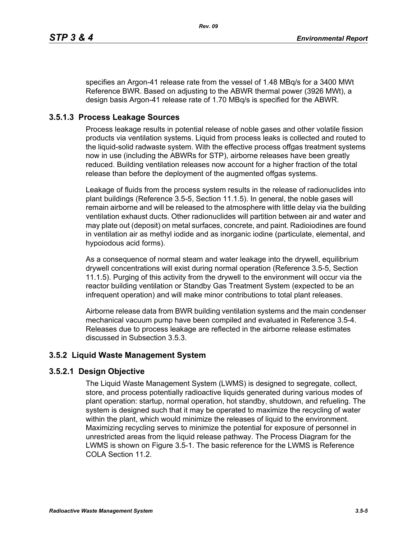specifies an Argon-41 release rate from the vessel of 1.48 MBq/s for a 3400 MWt Reference BWR. Based on adjusting to the ABWR thermal power (3926 MWt), a design basis Argon-41 release rate of 1.70 MBq/s is specified for the ABWR.

# **3.5.1.3 Process Leakage Sources**

Process leakage results in potential release of noble gases and other volatile fission products via ventilation systems. Liquid from process leaks is collected and routed to the liquid-solid radwaste system. With the effective process offgas treatment systems now in use (including the ABWRs for STP), airborne releases have been greatly reduced. Building ventilation releases now account for a higher fraction of the total release than before the deployment of the augmented offgas systems.

Leakage of fluids from the process system results in the release of radionuclides into plant buildings (Reference 3.5-5, Section 11.1.5). In general, the noble gases will remain airborne and will be released to the atmosphere with little delay via the building ventilation exhaust ducts. Other radionuclides will partition between air and water and may plate out (deposit) on metal surfaces, concrete, and paint. Radioiodines are found in ventilation air as methyl iodide and as inorganic iodine (particulate, elemental, and hypoiodous acid forms).

As a consequence of normal steam and water leakage into the drywell, equilibrium drywell concentrations will exist during normal operation (Reference 3.5-5, Section 11.1.5). Purging of this activity from the drywell to the environment will occur via the reactor building ventilation or Standby Gas Treatment System (expected to be an infrequent operation) and will make minor contributions to total plant releases.

Airborne release data from BWR building ventilation systems and the main condenser mechanical vacuum pump have been compiled and evaluated in Reference 3.5-4. Releases due to process leakage are reflected in the airborne release estimates discussed in Subsection 3.5.3.

# **3.5.2 Liquid Waste Management System**

# **3.5.2.1 Design Objective**

The Liquid Waste Management System (LWMS) is designed to segregate, collect, store, and process potentially radioactive liquids generated during various modes of plant operation: startup, normal operation, hot standby, shutdown, and refueling. The system is designed such that it may be operated to maximize the recycling of water within the plant, which would minimize the releases of liquid to the environment. Maximizing recycling serves to minimize the potential for exposure of personnel in unrestricted areas from the liquid release pathway. The Process Diagram for the LWMS is shown on Figure 3.5-1. The basic reference for the LWMS is Reference COLA Section 11.2.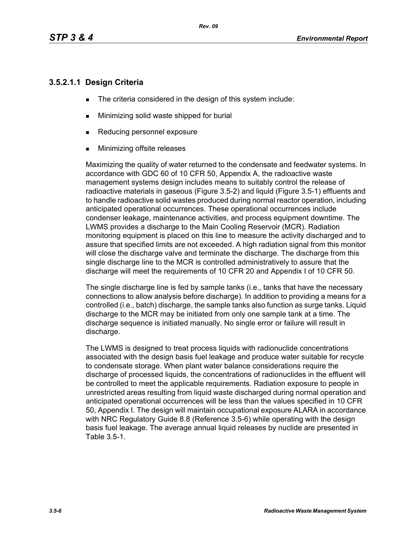# **3.5.2.1.1 Design Criteria**

- The criteria considered in the design of this system include:
- **Minimizing solid waste shipped for burial**
- Reducing personnel exposure
- **Minimizing offsite releases**

Maximizing the quality of water returned to the condensate and feedwater systems. In accordance with GDC 60 of 10 CFR 50, Appendix A, the radioactive waste management systems design includes means to suitably control the release of radioactive materials in gaseous (Figure 3.5-2) and liquid (Figure 3.5-1) effluents and to handle radioactive solid wastes produced during normal reactor operation, including anticipated operational occurrences. These operational occurrences include condenser leakage, maintenance activities, and process equipment downtime. The LWMS provides a discharge to the Main Cooling Reservoir (MCR). Radiation monitoring equipment is placed on this line to measure the activity discharged and to assure that specified limits are not exceeded. A high radiation signal from this monitor will close the discharge valve and terminate the discharge. The discharge from this single discharge line to the MCR is controlled administratively to assure that the discharge will meet the requirements of 10 CFR 20 and Appendix I of 10 CFR 50.

The single discharge line is fed by sample tanks (i.e., tanks that have the necessary connections to allow analysis before discharge). In addition to providing a means for a controlled (i.e., batch) discharge, the sample tanks also function as surge tanks. Liquid discharge to the MCR may be initiated from only one sample tank at a time. The discharge sequence is initiated manually. No single error or failure will result in discharge.

The LWMS is designed to treat process liquids with radionuclide concentrations associated with the design basis fuel leakage and produce water suitable for recycle to condensate storage. When plant water balance considerations require the discharge of processed liquids, the concentrations of radionuclides in the effluent will be controlled to meet the applicable requirements. Radiation exposure to people in unrestricted areas resulting from liquid waste discharged during normal operation and anticipated operational occurrences will be less than the values specified in 10 CFR 50, Appendix I. The design will maintain occupational exposure ALARA in accordance with NRC Regulatory Guide 8.8 (Reference 3.5-6) while operating with the design basis fuel leakage. The average annual liquid releases by nuclide are presented in Table 3.5-1.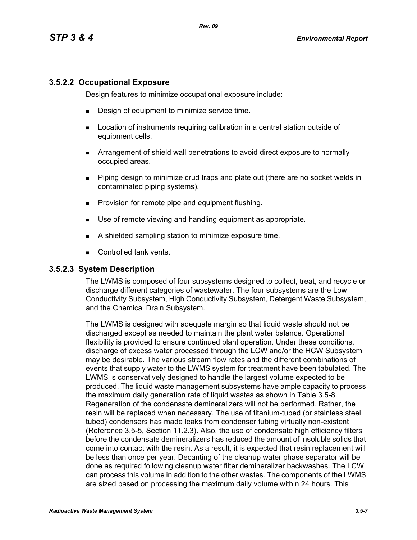### **3.5.2.2 Occupational Exposure**

Design features to minimize occupational exposure include:

- **Design of equipment to minimize service time.**
- **EXECT** Location of instruments requiring calibration in a central station outside of equipment cells.
- Arrangement of shield wall penetrations to avoid direct exposure to normally occupied areas.
- Piping design to minimize crud traps and plate out (there are no socket welds in contaminated piping systems).
- **Provision for remote pipe and equipment flushing.**
- Use of remote viewing and handling equipment as appropriate.
- A shielded sampling station to minimize exposure time.
- Controlled tank vents.

#### **3.5.2.3 System Description**

The LWMS is composed of four subsystems designed to collect, treat, and recycle or discharge different categories of wastewater. The four subsystems are the Low Conductivity Subsystem, High Conductivity Subsystem, Detergent Waste Subsystem, and the Chemical Drain Subsystem.

The LWMS is designed with adequate margin so that liquid waste should not be discharged except as needed to maintain the plant water balance. Operational flexibility is provided to ensure continued plant operation. Under these conditions, discharge of excess water processed through the LCW and/or the HCW Subsystem may be desirable. The various stream flow rates and the different combinations of events that supply water to the LWMS system for treatment have been tabulated. The LWMS is conservatively designed to handle the largest volume expected to be produced. The liquid waste management subsystems have ample capacity to process the maximum daily generation rate of liquid wastes as shown in Table 3.5-8. Regeneration of the condensate demineralizers will not be performed. Rather, the resin will be replaced when necessary. The use of titanium-tubed (or stainless steel tubed) condensers has made leaks from condenser tubing virtually non-existent (Reference 3.5-5, Section 11.2.3). Also, the use of condensate high efficiency filters before the condensate demineralizers has reduced the amount of insoluble solids that come into contact with the resin. As a result, it is expected that resin replacement will be less than once per year. Decanting of the cleanup water phase separator will be done as required following cleanup water filter demineralizer backwashes. The LCW can process this volume in addition to the other wastes. The components of the LWMS are sized based on processing the maximum daily volume within 24 hours. This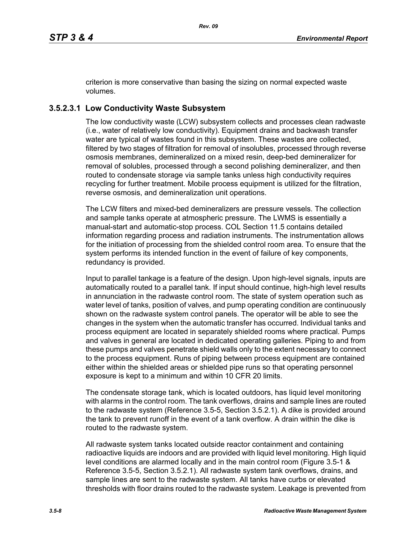criterion is more conservative than basing the sizing on normal expected waste volumes.

# **3.5.2.3.1 Low Conductivity Waste Subsystem**

The low conductivity waste (LCW) subsystem collects and processes clean radwaste (i.e., water of relatively low conductivity). Equipment drains and backwash transfer water are typical of wastes found in this subsystem. These wastes are collected, filtered by two stages of filtration for removal of insolubles, processed through reverse osmosis membranes, demineralized on a mixed resin, deep-bed demineralizer for removal of solubles, processed through a second polishing demineralizer, and then routed to condensate storage via sample tanks unless high conductivity requires recycling for further treatment. Mobile process equipment is utilized for the filtration, reverse osmosis, and demineralization unit operations.

The LCW filters and mixed-bed demineralizers are pressure vessels. The collection and sample tanks operate at atmospheric pressure. The LWMS is essentially a manual-start and automatic-stop process. COL Section 11.5 contains detailed information regarding process and radiation instruments. The instrumentation allows for the initiation of processing from the shielded control room area. To ensure that the system performs its intended function in the event of failure of key components, redundancy is provided.

Input to parallel tankage is a feature of the design. Upon high-level signals, inputs are automatically routed to a parallel tank. If input should continue, high-high level results in annunciation in the radwaste control room. The state of system operation such as water level of tanks, position of valves, and pump operating condition are continuously shown on the radwaste system control panels. The operator will be able to see the changes in the system when the automatic transfer has occurred. Individual tanks and process equipment are located in separately shielded rooms where practical. Pumps and valves in general are located in dedicated operating galleries. Piping to and from these pumps and valves penetrate shield walls only to the extent necessary to connect to the process equipment. Runs of piping between process equipment are contained either within the shielded areas or shielded pipe runs so that operating personnel exposure is kept to a minimum and within 10 CFR 20 limits.

The condensate storage tank, which is located outdoors, has liquid level monitoring with alarms in the control room. The tank overflows, drains and sample lines are routed to the radwaste system (Reference 3.5-5, Section 3.5.2.1). A dike is provided around the tank to prevent runoff in the event of a tank overflow. A drain within the dike is routed to the radwaste system.

All radwaste system tanks located outside reactor containment and containing radioactive liquids are indoors and are provided with liquid level monitoring. High liquid level conditions are alarmed locally and in the main control room (Figure 3.5-1 & Reference 3.5-5, Section 3.5.2.1). All radwaste system tank overflows, drains, and sample lines are sent to the radwaste system. All tanks have curbs or elevated thresholds with floor drains routed to the radwaste system. Leakage is prevented from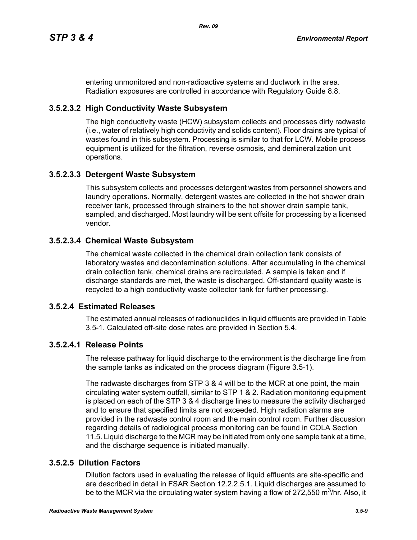entering unmonitored and non-radioactive systems and ductwork in the area. Radiation exposures are controlled in accordance with Regulatory Guide 8.8.

# **3.5.2.3.2 High Conductivity Waste Subsystem**

The high conductivity waste (HCW) subsystem collects and processes dirty radwaste (i.e., water of relatively high conductivity and solids content). Floor drains are typical of wastes found in this subsystem. Processing is similar to that for LCW. Mobile process equipment is utilized for the filtration, reverse osmosis, and demineralization unit operations.

# **3.5.2.3.3 Detergent Waste Subsystem**

This subsystem collects and processes detergent wastes from personnel showers and laundry operations. Normally, detergent wastes are collected in the hot shower drain receiver tank, processed through strainers to the hot shower drain sample tank, sampled, and discharged. Most laundry will be sent offsite for processing by a licensed vendor.

# **3.5.2.3.4 Chemical Waste Subsystem**

The chemical waste collected in the chemical drain collection tank consists of laboratory wastes and decontamination solutions. After accumulating in the chemical drain collection tank, chemical drains are recirculated. A sample is taken and if discharge standards are met, the waste is discharged. Off-standard quality waste is recycled to a high conductivity waste collector tank for further processing.

# **3.5.2.4 Estimated Releases**

The estimated annual releases of radionuclides in liquid effluents are provided in Table 3.5-1. Calculated off-site dose rates are provided in Section 5.4.

# **3.5.2.4.1 Release Points**

The release pathway for liquid discharge to the environment is the discharge line from the sample tanks as indicated on the process diagram (Figure 3.5-1).

The radwaste discharges from STP 3 & 4 will be to the MCR at one point, the main circulating water system outfall, similar to STP 1 & 2. Radiation monitoring equipment is placed on each of the STP 3 & 4 discharge lines to measure the activity discharged and to ensure that specified limits are not exceeded. High radiation alarms are provided in the radwaste control room and the main control room. Further discussion regarding details of radiological process monitoring can be found in COLA Section 11.5. Liquid discharge to the MCR may be initiated from only one sample tank at a time, and the discharge sequence is initiated manually.

# **3.5.2.5 Dilution Factors**

Dilution factors used in evaluating the release of liquid effluents are site-specific and are described in detail in FSAR Section 12.2.2.5.1. Liquid discharges are assumed to be to the MCR via the circulating water system having a flow of 272,550 m<sup>3</sup>/hr. Also, it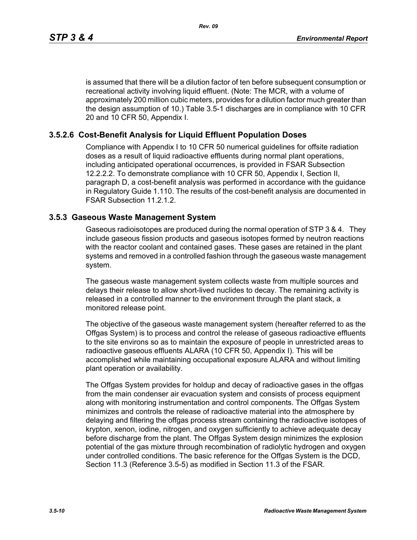is assumed that there will be a dilution factor of ten before subsequent consumption or recreational activity involving liquid effluent. (Note: The MCR, with a volume of approximately 200 million cubic meters, provides for a dilution factor much greater than the design assumption of 10.) Table 3.5-1 discharges are in compliance with 10 CFR 20 and 10 CFR 50, Appendix I.

# **3.5.2.6 Cost-Benefit Analysis for Liquid Effluent Population Doses**

Compliance with Appendix I to 10 CFR 50 numerical guidelines for offsite radiation doses as a result of liquid radioactive effluents during normal plant operations, including anticipated operational occurrences, is provided in FSAR Subsection 12.2.2.2. To demonstrate compliance with 10 CFR 50, Appendix I, Section II, paragraph D, a cost-benefit analysis was performed in accordance with the guidance in Regulatory Guide 1.110. The results of the cost-benefit analysis are documented in FSAR Subsection 11.2.1.2.

#### **3.5.3 Gaseous Waste Management System**

Gaseous radioisotopes are produced during the normal operation of STP 3 & 4. They include gaseous fission products and gaseous isotopes formed by neutron reactions with the reactor coolant and contained gases. These gases are retained in the plant systems and removed in a controlled fashion through the gaseous waste management system.

The gaseous waste management system collects waste from multiple sources and delays their release to allow short-lived nuclides to decay. The remaining activity is released in a controlled manner to the environment through the plant stack, a monitored release point.

The objective of the gaseous waste management system (hereafter referred to as the Offgas System) is to process and control the release of gaseous radioactive effluents to the site environs so as to maintain the exposure of people in unrestricted areas to radioactive gaseous effluents ALARA (10 CFR 50, Appendix I). This will be accomplished while maintaining occupational exposure ALARA and without limiting plant operation or availability.

The Offgas System provides for holdup and decay of radioactive gases in the offgas from the main condenser air evacuation system and consists of process equipment along with monitoring instrumentation and control components. The Offgas System minimizes and controls the release of radioactive material into the atmosphere by delaying and filtering the offgas process stream containing the radioactive isotopes of krypton, xenon, iodine, nitrogen, and oxygen sufficiently to achieve adequate decay before discharge from the plant. The Offgas System design minimizes the explosion potential of the gas mixture through recombination of radiolytic hydrogen and oxygen under controlled conditions. The basic reference for the Offgas System is the DCD, Section 11.3 (Reference 3.5-5) as modified in Section 11.3 of the FSAR.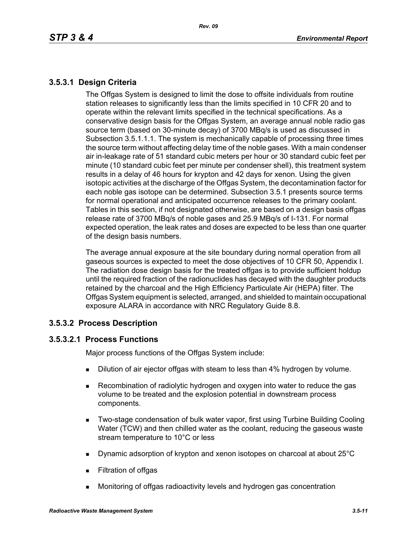# **3.5.3.1 Design Criteria**

The Offgas System is designed to limit the dose to offsite individuals from routine station releases to significantly less than the limits specified in 10 CFR 20 and to operate within the relevant limits specified in the technical specifications. As a conservative design basis for the Offgas System, an average annual noble radio gas source term (based on 30-minute decay) of 3700 MBq/s is used as discussed in Subsection 3.5.1.1.1. The system is mechanically capable of processing three times the source term without affecting delay time of the noble gases. With a main condenser air in-leakage rate of 51 standard cubic meters per hour or 30 standard cubic feet per minute (10 standard cubic feet per minute per condenser shell), this treatment system results in a delay of 46 hours for krypton and 42 days for xenon. Using the given isotopic activities at the discharge of the Offgas System, the decontamination factor for each noble gas isotope can be determined. Subsection 3.5.1 presents source terms for normal operational and anticipated occurrence releases to the primary coolant. Tables in this section, if not designated otherwise, are based on a design basis offgas release rate of 3700 MBq/s of noble gases and 25.9 MBq/s of I-131. For normal expected operation, the leak rates and doses are expected to be less than one quarter of the design basis numbers.

The average annual exposure at the site boundary during normal operation from all gaseous sources is expected to meet the dose objectives of 10 CFR 50, Appendix I. The radiation dose design basis for the treated offgas is to provide sufficient holdup until the required fraction of the radionuclides has decayed with the daughter products retained by the charcoal and the High Efficiency Particulate Air (HEPA) filter. The Offgas System equipment is selected, arranged, and shielded to maintain occupational exposure ALARA in accordance with NRC Regulatory Guide 8.8.

# **3.5.3.2 Process Description**

# **3.5.3.2.1 Process Functions**

Major process functions of the Offgas System include:

- **Dilution of air ejector offgas with steam to less than 4% hydrogen by volume.**
- Recombination of radiolytic hydrogen and oxygen into water to reduce the gas volume to be treated and the explosion potential in downstream process components.
- **Two-stage condensation of bulk water vapor, first using Turbine Building Cooling** Water (TCW) and then chilled water as the coolant, reducing the gaseous waste stream temperature to 10°C or less
- Dynamic adsorption of krypton and xenon isotopes on charcoal at about 25°C
- **Filtration of offgas**
- Monitoring of offgas radioactivity levels and hydrogen gas concentration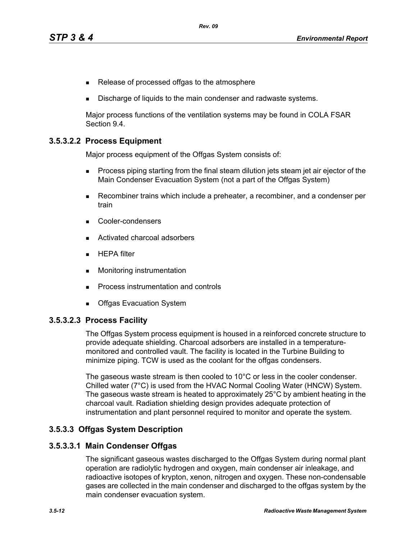- Release of processed offgas to the atmosphere
- Discharge of liquids to the main condenser and radwaste systems.

Major process functions of the ventilation systems may be found in COLA FSAR Section 9.4.

### **3.5.3.2.2 Process Equipment**

Major process equipment of the Offgas System consists of:

- **Process piping starting from the final steam dilution jets steam jet air ejector of the** Main Condenser Evacuation System (not a part of the Offgas System)
- Recombiner trains which include a preheater, a recombiner, and a condenser per train
- Cooler-condensers
- Activated charcoal adsorbers
- $HEPA$  filter
- **Monitoring instrumentation**
- **Process instrumentation and controls**
- **Debival Exacuation System**

#### **3.5.3.2.3 Process Facility**

The Offgas System process equipment is housed in a reinforced concrete structure to provide adequate shielding. Charcoal adsorbers are installed in a temperaturemonitored and controlled vault. The facility is located in the Turbine Building to minimize piping. TCW is used as the coolant for the offgas condensers.

The gaseous waste stream is then cooled to 10°C or less in the cooler condenser. Chilled water (7°C) is used from the HVAC Normal Cooling Water (HNCW) System. The gaseous waste stream is heated to approximately 25°C by ambient heating in the charcoal vault. Radiation shielding design provides adequate protection of instrumentation and plant personnel required to monitor and operate the system.

#### **3.5.3.3 Offgas System Description**

#### **3.5.3.3.1 Main Condenser Offgas**

The significant gaseous wastes discharged to the Offgas System during normal plant operation are radiolytic hydrogen and oxygen, main condenser air inleakage, and radioactive isotopes of krypton, xenon, nitrogen and oxygen. These non-condensable gases are collected in the main condenser and discharged to the offgas system by the main condenser evacuation system.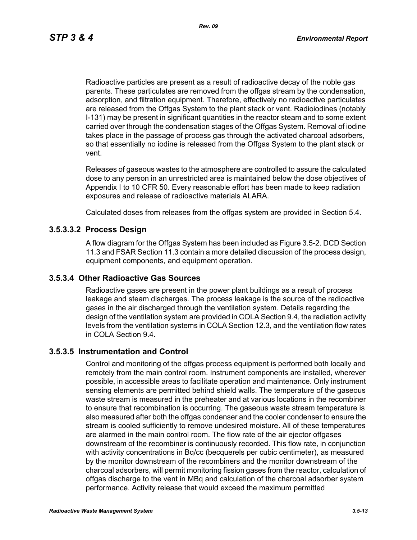Radioactive particles are present as a result of radioactive decay of the noble gas parents. These particulates are removed from the offgas stream by the condensation, adsorption, and filtration equipment. Therefore, effectively no radioactive particulates are released from the Offgas System to the plant stack or vent. Radioiodines (notably I-131) may be present in significant quantities in the reactor steam and to some extent carried over through the condensation stages of the Offgas System. Removal of iodine takes place in the passage of process gas through the activated charcoal adsorbers, so that essentially no iodine is released from the Offgas System to the plant stack or vent.

Releases of gaseous wastes to the atmosphere are controlled to assure the calculated dose to any person in an unrestricted area is maintained below the dose objectives of Appendix I to 10 CFR 50. Every reasonable effort has been made to keep radiation exposures and release of radioactive materials ALARA.

Calculated doses from releases from the offgas system are provided in Section 5.4.

#### **3.5.3.3.2 Process Design**

A flow diagram for the Offgas System has been included as Figure 3.5-2. DCD Section 11.3 and FSAR Section 11.3 contain a more detailed discussion of the process design, equipment components, and equipment operation.

#### **3.5.3.4 Other Radioactive Gas Sources**

Radioactive gases are present in the power plant buildings as a result of process leakage and steam discharges. The process leakage is the source of the radioactive gases in the air discharged through the ventilation system. Details regarding the design of the ventilation system are provided in COLA Section 9.4, the radiation activity levels from the ventilation systems in COLA Section 12.3, and the ventilation flow rates in COLA Section 9.4.

#### **3.5.3.5 Instrumentation and Control**

Control and monitoring of the offgas process equipment is performed both locally and remotely from the main control room. Instrument components are installed, wherever possible, in accessible areas to facilitate operation and maintenance. Only instrument sensing elements are permitted behind shield walls. The temperature of the gaseous waste stream is measured in the preheater and at various locations in the recombiner to ensure that recombination is occurring. The gaseous waste stream temperature is also measured after both the offgas condenser and the cooler condenser to ensure the stream is cooled sufficiently to remove undesired moisture. All of these temperatures are alarmed in the main control room. The flow rate of the air ejector offgases downstream of the recombiner is continuously recorded. This flow rate, in conjunction with activity concentrations in Bq/cc (becquerels per cubic centimeter), as measured by the monitor downstream of the recombiners and the monitor downstream of the charcoal adsorbers, will permit monitoring fission gases from the reactor, calculation of offgas discharge to the vent in MBq and calculation of the charcoal adsorber system performance. Activity release that would exceed the maximum permitted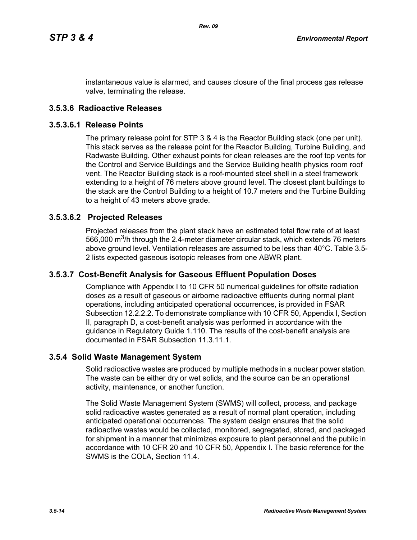instantaneous value is alarmed, and causes closure of the final process gas release valve, terminating the release.

### **3.5.3.6 Radioactive Releases**

#### **3.5.3.6.1 Release Points**

The primary release point for STP 3 & 4 is the Reactor Building stack (one per unit). This stack serves as the release point for the Reactor Building, Turbine Building, and Radwaste Building. Other exhaust points for clean releases are the roof top vents for the Control and Service Buildings and the Service Building health physics room roof vent. The Reactor Building stack is a roof-mounted steel shell in a steel framework extending to a height of 76 meters above ground level. The closest plant buildings to the stack are the Control Building to a height of 10.7 meters and the Turbine Building to a height of 43 meters above grade.

#### **3.5.3.6.2 Projected Releases**

Projected releases from the plant stack have an estimated total flow rate of at least 566,000  $\mathrm{m}^3$ /h through the 2.4-meter diameter circular stack, which extends 76 meters above ground level. Ventilation releases are assumed to be less than 40°C. Table 3.5- 2 lists expected gaseous isotopic releases from one ABWR plant.

#### **3.5.3.7 Cost-Benefit Analysis for Gaseous Effluent Population Doses**

Compliance with Appendix I to 10 CFR 50 numerical guidelines for offsite radiation doses as a result of gaseous or airborne radioactive effluents during normal plant operations, including anticipated operational occurrences, is provided in FSAR Subsection 12.2.2.2. To demonstrate compliance with 10 CFR 50, Appendix I, Section II, paragraph D, a cost-benefit analysis was performed in accordance with the guidance in Regulatory Guide 1.110. The results of the cost-benefit analysis are documented in FSAR Subsection 11.3.11.1.

#### **3.5.4 Solid Waste Management System**

Solid radioactive wastes are produced by multiple methods in a nuclear power station. The waste can be either dry or wet solids, and the source can be an operational activity, maintenance, or another function.

The Solid Waste Management System (SWMS) will collect, process, and package solid radioactive wastes generated as a result of normal plant operation, including anticipated operational occurrences. The system design ensures that the solid radioactive wastes would be collected, monitored, segregated, stored, and packaged for shipment in a manner that minimizes exposure to plant personnel and the public in accordance with 10 CFR 20 and 10 CFR 50, Appendix I. The basic reference for the SWMS is the COLA, Section 11.4.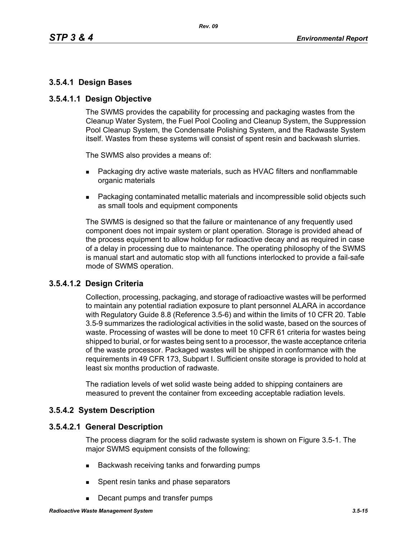# **3.5.4.1 Design Bases**

### **3.5.4.1.1 Design Objective**

The SWMS provides the capability for processing and packaging wastes from the Cleanup Water System, the Fuel Pool Cooling and Cleanup System, the Suppression Pool Cleanup System, the Condensate Polishing System, and the Radwaste System itself. Wastes from these systems will consist of spent resin and backwash slurries.

The SWMS also provides a means of:

- **Packaging dry active waste materials, such as HVAC filters and nonflammable** organic materials
- Packaging contaminated metallic materials and incompressible solid objects such as small tools and equipment components

The SWMS is designed so that the failure or maintenance of any frequently used component does not impair system or plant operation. Storage is provided ahead of the process equipment to allow holdup for radioactive decay and as required in case of a delay in processing due to maintenance. The operating philosophy of the SWMS is manual start and automatic stop with all functions interlocked to provide a fail-safe mode of SWMS operation.

# **3.5.4.1.2 Design Criteria**

Collection, processing, packaging, and storage of radioactive wastes will be performed to maintain any potential radiation exposure to plant personnel ALARA in accordance with Regulatory Guide 8.8 (Reference 3.5-6) and within the limits of 10 CFR 20. Table 3.5-9 summarizes the radiological activities in the solid waste, based on the sources of waste. Processing of wastes will be done to meet 10 CFR 61 criteria for wastes being shipped to burial, or for wastes being sent to a processor, the waste acceptance criteria of the waste processor. Packaged wastes will be shipped in conformance with the requirements in 49 CFR 173, Subpart I. Sufficient onsite storage is provided to hold at least six months production of radwaste.

The radiation levels of wet solid waste being added to shipping containers are measured to prevent the container from exceeding acceptable radiation levels.

# **3.5.4.2 System Description**

#### **3.5.4.2.1 General Description**

The process diagram for the solid radwaste system is shown on Figure 3.5-1. The major SWMS equipment consists of the following:

- Backwash receiving tanks and forwarding pumps
- **Spent resin tanks and phase separators**
- Decant pumps and transfer pumps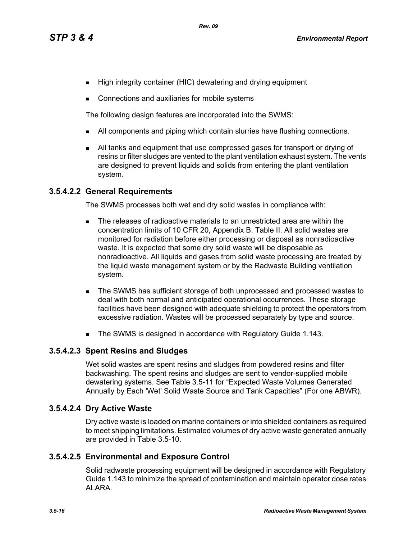- High integrity container (HIC) dewatering and drying equipment
- Connections and auxiliaries for mobile systems

The following design features are incorporated into the SWMS:

- I All components and piping which contain slurries have flushing connections.
- All tanks and equipment that use compressed gases for transport or drying of resins or filter sludges are vented to the plant ventilation exhaust system. The vents are designed to prevent liquids and solids from entering the plant ventilation system.

# **3.5.4.2.2 General Requirements**

The SWMS processes both wet and dry solid wastes in compliance with:

- The releases of radioactive materials to an unrestricted area are within the concentration limits of 10 CFR 20, Appendix B, Table II. All solid wastes are monitored for radiation before either processing or disposal as nonradioactive waste. It is expected that some dry solid waste will be disposable as nonradioactive. All liquids and gases from solid waste processing are treated by the liquid waste management system or by the Radwaste Building ventilation system.
- The SWMS has sufficient storage of both unprocessed and processed wastes to deal with both normal and anticipated operational occurrences. These storage facilities have been designed with adequate shielding to protect the operators from excessive radiation. Wastes will be processed separately by type and source.
- The SWMS is designed in accordance with Regulatory Guide 1.143.

# **3.5.4.2.3 Spent Resins and Sludges**

Wet solid wastes are spent resins and sludges from powdered resins and filter backwashing. The spent resins and sludges are sent to vendor-supplied mobile dewatering systems. See Table 3.5-11 for "Expected Waste Volumes Generated Annually by Each 'Wet' Solid Waste Source and Tank Capacities" (For one ABWR).

# **3.5.4.2.4 Dry Active Waste**

Dry active waste is loaded on marine containers or into shielded containers as required to meet shipping limitations. Estimated volumes of dry active waste generated annually are provided in Table 3.5-10.

# **3.5.4.2.5 Environmental and Exposure Control**

Solid radwaste processing equipment will be designed in accordance with Regulatory Guide 1.143 to minimize the spread of contamination and maintain operator dose rates ALARA.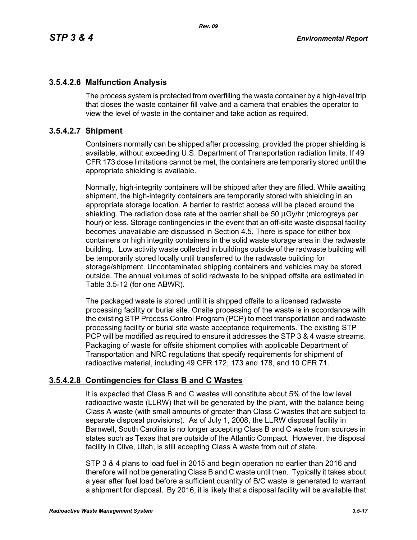# **3.5.4.2.6 Malfunction Analysis**

The process system is protected from overfilling the waste container by a high-level trip that closes the waste container fill valve and a camera that enables the operator to view the level of waste in the container and take action as required.

# **3.5.4.2.7 Shipment**

Containers normally can be shipped after processing, provided the proper shielding is available, without exceeding U.S. Department of Transportation radiation limits. If 49 CFR 173 dose limitations cannot be met, the containers are temporarily stored until the appropriate shielding is available.

Normally, high-integrity containers will be shipped after they are filled. While awaiting shipment, the high-integrity containers are temporarily stored with shielding in an appropriate storage location. A barrier to restrict access will be placed around the shielding. The radiation dose rate at the barrier shall be 50 μGy/hr (micrograys per hour) or less. Storage contingencies in the event that an off-site waste disposal facility becomes unavailable are discussed in Section 4.5. There is space for either box containers or high integrity containers in the solid waste storage area in the radwaste building. Low activity waste collected in buildings outside of the radwaste building will be temporarily stored locally until transferred to the radwaste building for storage/shipment. Uncontaminated shipping containers and vehicles may be stored outside. The annual volumes of solid radwaste to be shipped offsite are estimated in Table 3.5-12 (for one ABWR).

The packaged waste is stored until it is shipped offsite to a licensed radwaste processing facility or burial site. Onsite processing of the waste is in accordance with the existing STP Process Control Program (PCP) to meet transportation and radwaste processing facility or burial site waste acceptance requirements. The existing STP PCP will be modified as required to ensure it addresses the STP 3 & 4 waste streams. Packaging of waste for offsite shipment complies with applicable Department of Transportation and NRC regulations that specify requirements for shipment of radioactive material, including 49 CFR 172, 173 and 178, and 10 CFR 71.

# **3.5.4.2.8 Contingencies for Class B and C Wastes**

It is expected that Class B and C wastes will constitute about 5% of the low level radioactive waste (LLRW) that will be generated by the plant, with the balance being Class A waste (with small amounts of greater than Class C wastes that are subject to separate disposal provisions). As of July 1, 2008, the LLRW disposal facility in Barnwell, South Carolina is no longer accepting Class B and C waste from sources in states such as Texas that are outside of the Atlantic Compact. However, the disposal facility in Clive, Utah, is still accepting Class A waste from out of state.

STP 3 & 4 plans to load fuel in 2015 and begin operation no earlier than 2016 and therefore will not be generating Class B and C waste until then. Typically it takes about a year after fuel load before a sufficient quantity of B/C waste is generated to warrant a shipment for disposal. By 2016, it is likely that a disposal facility will be available that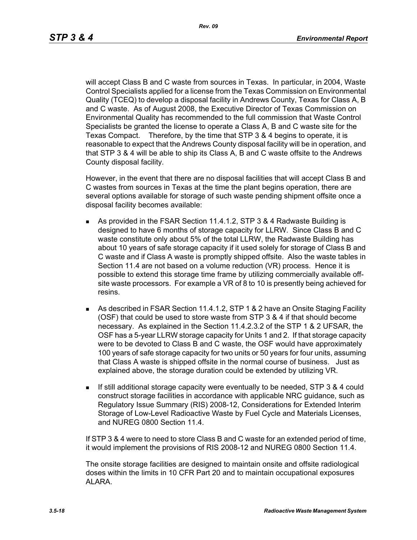will accept Class B and C waste from sources in Texas. In particular, in 2004, Waste Control Specialists applied for a license from the Texas Commission on Environmental Quality (TCEQ) to develop a disposal facility in Andrews County, Texas for Class A, B and C waste. As of August 2008, the Executive Director of Texas Commission on Environmental Quality has recommended to the full commission that Waste Control Specialists be granted the license to operate a Class A, B and C waste site for the Texas Compact. Therefore, by the time that STP 3 & 4 begins to operate, it is reasonable to expect that the Andrews County disposal facility will be in operation, and that STP 3 & 4 will be able to ship its Class A, B and C waste offsite to the Andrews County disposal facility.

However, in the event that there are no disposal facilities that will accept Class B and C wastes from sources in Texas at the time the plant begins operation, there are several options available for storage of such waste pending shipment offsite once a disposal facility becomes available:

- As provided in the FSAR Section 11.4.1.2, STP 3 & 4 Radwaste Building is designed to have 6 months of storage capacity for LLRW. Since Class B and C waste constitute only about 5% of the total LLRW, the Radwaste Building has about 10 years of safe storage capacity if it used solely for storage of Class B and C waste and if Class A waste is promptly shipped offsite. Also the waste tables in Section 11.4 are not based on a volume reduction (VR) process. Hence it is possible to extend this storage time frame by utilizing commercially available offsite waste processors. For example a VR of 8 to 10 is presently being achieved for resins.
- As described in FSAR Section 11.4.1.2, STP 1 & 2 have an Onsite Staging Facility (OSF) that could be used to store waste from STP 3 & 4 if that should become necessary. As explained in the Section 11.4.2.3.2 of the STP 1 & 2 UFSAR, the OSF has a 5-year LLRW storage capacity for Units 1 and 2. If that storage capacity were to be devoted to Class B and C waste, the OSF would have approximately 100 years of safe storage capacity for two units or 50 years for four units, assuming that Class A waste is shipped offsite in the normal course of business. Just as explained above, the storage duration could be extended by utilizing VR.
- If still additional storage capacity were eventually to be needed, STP 3 & 4 could construct storage facilities in accordance with applicable NRC guidance, such as Regulatory Issue Summary (RIS) 2008-12, Considerations for Extended Interim Storage of Low-Level Radioactive Waste by Fuel Cycle and Materials Licenses, and NUREG 0800 Section 11.4.

If STP 3 & 4 were to need to store Class B and C waste for an extended period of time, it would implement the provisions of RIS 2008-12 and NUREG 0800 Section 11.4.

The onsite storage facilities are designed to maintain onsite and offsite radiological doses within the limits in 10 CFR Part 20 and to maintain occupational exposures ALARA.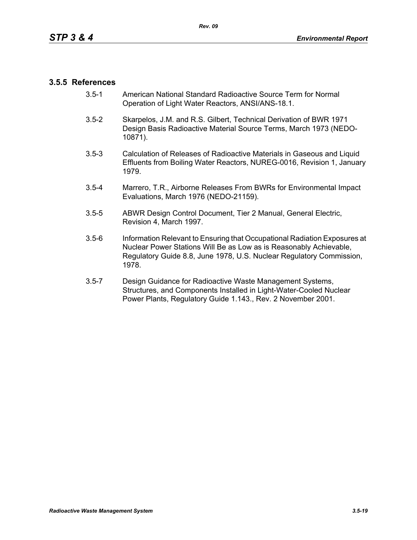### **3.5.5 References**

- 3.5-1 American National Standard Radioactive Source Term for Normal Operation of Light Water Reactors, ANSI/ANS-18.1.
- 3.5-2 Skarpelos, J.M. and R.S. Gilbert, Technical Derivation of BWR 1971 Design Basis Radioactive Material Source Terms, March 1973 (NEDO-10871).
- 3.5-3 Calculation of Releases of Radioactive Materials in Gaseous and Liquid Effluents from Boiling Water Reactors, NUREG-0016, Revision 1, January 1979.
- 3.5-4 Marrero, T.R., Airborne Releases From BWRs for Environmental Impact Evaluations, March 1976 (NEDO-21159).
- 3.5-5 ABWR Design Control Document, Tier 2 Manual, General Electric, Revision 4, March 1997.
- 3.5-6 Information Relevant to Ensuring that Occupational Radiation Exposures at Nuclear Power Stations Will Be as Low as is Reasonably Achievable, Regulatory Guide 8.8, June 1978, U.S. Nuclear Regulatory Commission, 1978.
- 3.5-7 Design Guidance for Radioactive Waste Management Systems, Structures, and Components Installed in Light-Water-Cooled Nuclear Power Plants, Regulatory Guide 1.143., Rev. 2 November 2001.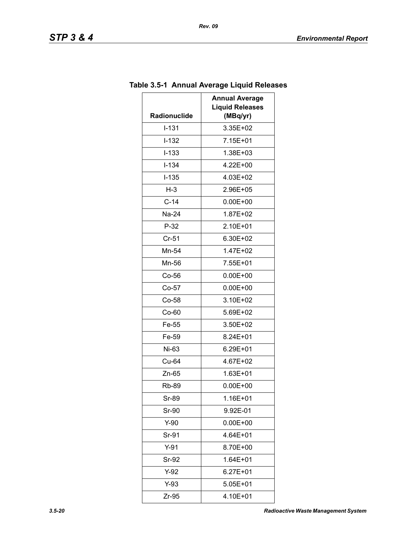| 111111111<br>יסומשפ ∟ושטוט ו כול<br><b>Annual Average</b> |                                    |        |
|-----------------------------------------------------------|------------------------------------|--------|
| Radionuclide                                              | <b>Liquid Releases</b><br>(MBq/yr) |        |
| $I - 131$                                                 | 3.35E+02                           |        |
| $I-132$                                                   | 7.15E+01                           |        |
| $I - 133$                                                 | 1.38E+03                           |        |
|                                                           |                                    |        |
| $I - 134$                                                 | 4.22E+00                           |        |
| $I-135$                                                   | 4.03E+02                           |        |
| $H-3$                                                     | 2.96E+05                           |        |
| $C-14$<br>$0.00E + 00$<br>Na-24<br>1.87E+02               |                                    |        |
|                                                           |                                    | $P-32$ |
| $Cr-51$                                                   | 6.30E+02                           |        |
| Mn-54                                                     | 1.47E+02                           |        |
| Mn-56                                                     | 7.55E+01                           |        |
| $Co-56$                                                   | $0.00E + 00$                       |        |
| $Co-57$<br>$Co-58$                                        | $0.00E + 00$                       |        |
|                                                           | 3.10E+02                           |        |
| $Co-60$                                                   | 5.69E+02                           |        |
| Fe-55                                                     | 3.50E+02                           |        |
| Fe-59<br>8.24E+01                                         |                                    |        |
| Ni-63                                                     | 6.29E+01                           |        |
| Cu-64                                                     | 4.67E+02                           |        |
| Zn-65                                                     | $1.63E + 01$                       |        |
| Rb-89                                                     | $0.00E + 00$                       |        |
| Sr-89                                                     | 1.16E+01                           |        |
| Sr-90                                                     | 9.92E-01                           |        |
| $0.00E + 00$<br>$Y-90$                                    |                                    |        |
| Sr-91                                                     | 4.64E+01                           |        |
| $Y-91$<br>8.70E+00                                        |                                    |        |
| Sr-92                                                     | $1.64E + 01$                       |        |
| $Y-92$                                                    | $6.27E + 01$                       |        |
| $Y-93$                                                    | 5.05E+01                           |        |
| Zr-95                                                     | 4.10E+01                           |        |

# **Table 3.5-1 Annual Average Liquid Releases**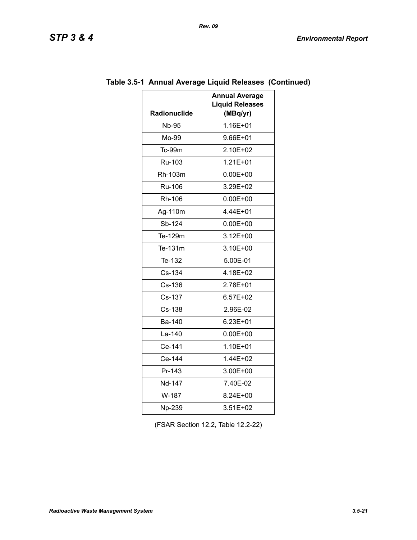| <b>Radionuclide</b>    | <b>Annual Average</b><br><b>Liquid Releases</b><br>(MBq/yr) |  |
|------------------------|-------------------------------------------------------------|--|
| <b>Nb-95</b>           | 1.16E+01                                                    |  |
| Mo-99                  | 9.66E+01                                                    |  |
| Tc-99m                 | 2.10E+02                                                    |  |
| Ru-103                 | $1.21E + 01$                                                |  |
| Rh-103m                | $0.00E + 00$                                                |  |
| Ru-106<br>3.29E+02     |                                                             |  |
| Rh-106<br>$0.00E + 00$ |                                                             |  |
| Ag-110m                | 4.44E+01                                                    |  |
| Sb-124                 | $0.00E + 00$                                                |  |
| Te-129m                | $3.12E + 00$                                                |  |
| Te-131m                | 3.10E+00                                                    |  |
| Te-132                 | 5.00E-01                                                    |  |
| Cs-134                 | 4.18E+02                                                    |  |
| Cs-136                 | 2.78E+01                                                    |  |
| Cs-137                 | 6.57E+02                                                    |  |
| Cs-138                 | 2.96E-02                                                    |  |
| Ba-140                 | $6.23E + 01$                                                |  |
| La-140                 | $0.00E + 00$                                                |  |
| Ce-141                 | 1.10E+01                                                    |  |
| Ce-144                 | 1.44E+02                                                    |  |
| Pr-143                 | 3.00E+00                                                    |  |
| Nd-147                 | 7.40E-02                                                    |  |
| W-187                  | 8.24E+00                                                    |  |
| Np-239                 | 3.51E+02                                                    |  |

# **Table 3.5-1 Annual Average Liquid Releases (Continued)**

(FSAR Section 12.2, Table 12.2-22)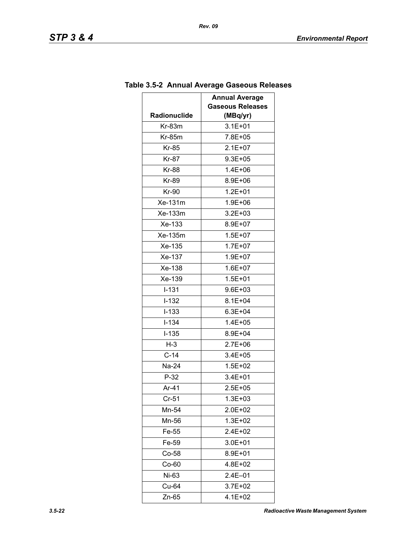| <b>Annual Average</b> |                         |  |
|-----------------------|-------------------------|--|
|                       | <b>Gaseous Releases</b> |  |
| Radionuclide          | (MBq/yr)                |  |
| $Kr-83m$              | $3.1E + 01$             |  |
| $Kr-85m$              | 7.8E+05                 |  |
| Kr-85                 | $2.1E+07$               |  |
| <b>Kr-87</b>          | $9.3E + 05$             |  |
| <b>Kr-88</b>          | $1.4E + 06$             |  |
| Kr-89                 | 8.9E+06                 |  |
| <b>Kr-90</b>          | $1.2E + 01$             |  |
| Xe-131m               | 1.9E+06                 |  |
| Xe-133m               | 3.2E+03                 |  |
| Xe-133                | 8.9E+07                 |  |
| Xe-135m               | $1.5E + 07$             |  |
| Xe-135                | $1.7E + 07$             |  |
| Xe-137                | $1.9E + 07$             |  |
| Xe-138                | $1.6E + 07$             |  |
| Xe-139                | $1.5E + 01$             |  |
| $I-131$               | $9.6E + 03$             |  |
| $I-132$               | $8.1E + 04$             |  |
| $I-133$               | $6.3E + 04$             |  |
| $I - 134$             | $1.4E + 05$             |  |
| $I-135$               | 8.9E+04                 |  |
| $H-3$                 | 2.7E+06                 |  |
| $C-14$                | 3.4E+05                 |  |
| Na-24                 | $1.5E + 02$             |  |
| $P-32$                | 3.4E+01                 |  |
| Ar-41                 | 2.5E+05                 |  |
| $Cr-51$               | $1.3E + 03$             |  |
| Mn-54                 | 2.0E+02                 |  |
| Mn-56                 | $1.3E + 02$             |  |
| Fe-55                 | $2.4E + 02$             |  |
| Fe-59<br>3.0E+01      |                         |  |
| $Co-58$               | 8.9E+01                 |  |
| $Co-60$               | 4.8E+02                 |  |
| Ni-63                 | 2.4E-01                 |  |
| Cu-64                 | $3.7E + 02$             |  |
| Zn-65                 | 4.1E+02                 |  |

# **Table 3.5-2 Annual Average Gaseous Releases**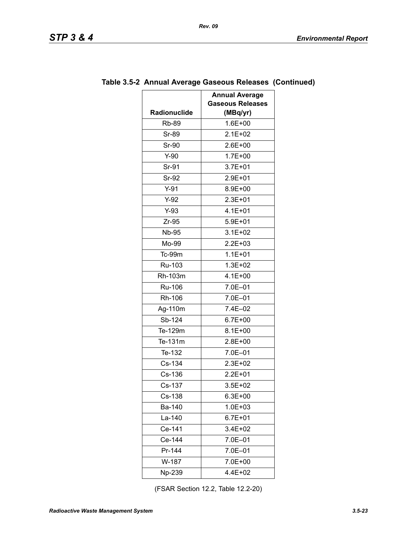|                     | <b>Annual Average</b>               |
|---------------------|-------------------------------------|
| <b>Radionuclide</b> | <b>Gaseous Releases</b><br>(MBq/yr) |
| <b>Rb-89</b>        | $1.6E + 00$                         |
| <b>Sr-89</b>        | $2.1E + 02$                         |
| Sr-90               | 2.6E+00                             |
| $Y-90$              | $1.7E + 00$                         |
| Sr-91               | $3.7E + 01$                         |
| Sr-92               | 2.9E+01                             |
| $Y-91$              | 8.9E+00                             |
| $Y-92$              | 2.3E+01                             |
| $Y-93$              | $4.1E + 01$                         |
| $Zr-95$             | $5.9E + 01$                         |
| <b>Nb-95</b>        | $3.1E + 02$                         |
| Mo-99               | 2.2E+03                             |
| Tc-99m              | $1.1E + 01$                         |
| Ru-103              | $1.3E + 02$                         |
| Rh-103m             | $4.1E + 00$                         |
| <b>Ru-106</b>       | 7.0E-01                             |
| Rh-106              | 7.0E-01                             |
| Ag-110m             | 7.4E-02                             |
| Sb-124              | $6.7E + 00$                         |
| Te-129m             | $8.1E + 00$                         |
| Te-131m             | 2.8E+00                             |
| Te-132              | 7.0E-01                             |
| Cs-134              | 2.3E+02                             |
| Cs-136              | $2.2E + 01$                         |
| Cs-137              | $3.5E + 02$                         |
| Cs-138              | $6.3E + 00$                         |
| Ba-140              | 1.0E+03                             |
| La-140              | $6.7E + 01$                         |
| Ce-141              | 3.4E+02                             |
| Ce-144              | 7.0E-01                             |
| Pr-144              | 7.0E-01                             |
| W-187               | 7.0E+00                             |
| Np-239              | 4.4E+02                             |

### **Table 3.5-2 Annual Average Gaseous Releases (Continued)**

(FSAR Section 12.2, Table 12.2-20)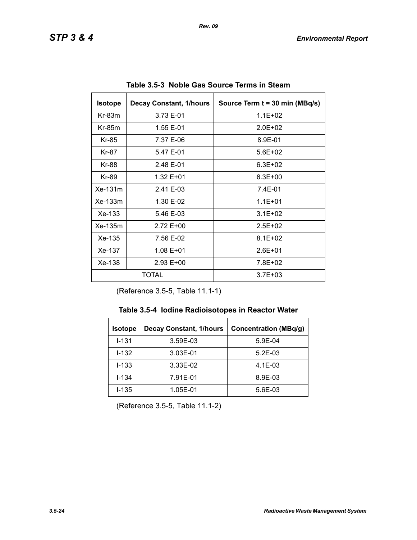| <b>Isotope</b>         | <b>Decay Constant, 1/hours</b> | Source Term t = 30 min (MBq/s) |
|------------------------|--------------------------------|--------------------------------|
| $Kr-83m$<br>3.73 E-01  |                                | $1.1E + 02$                    |
| $Kr-85m$               | 1.55 E-01                      | $2.0F + 02$                    |
| Kr-85                  | 7.37 E-06                      | 8.9E-01                        |
| 5.47 E-01<br>Kr-87     |                                | $5.6E + 02$                    |
| Kr-88                  | 2.48 E-01                      | $6.3E + 02$                    |
| Kr-89                  | 1.32 E+01                      | $6.3E + 00$                    |
| Xe-131m                | 2.41 E-03                      | 7.4E-01                        |
| $Xe-133m$<br>1.30 E-02 |                                | $1.1E + 01$                    |
| $Xe-133$<br>5.46 E-03  |                                | $3.1E + 02$                    |
| Xe-135m<br>2.72 E+00   |                                | $2.5E + 02$                    |
| Xe-135<br>7.56 E-02    |                                | $8.1E + 02$                    |
| Xe-137<br>1.08 E+01    |                                | $2.6E + 01$                    |
| Xe-138<br>$2.93 E+00$  |                                | 7.8E+02                        |
| TOTAL                  |                                | $3.7E + 03$                    |

**Table 3.5-3 Noble Gas Source Terms in Steam** 

(Reference 3.5-5, Table 11.1-1)

| <b>Decay Constant, 1/hours</b><br><b>Isotope</b> |          | <b>Concentration (MBq/g)</b> |
|--------------------------------------------------|----------|------------------------------|
| $1 - 131$                                        | 3.59E-03 | 5.9E-04                      |
| $1 - 132$                                        | 3.03E-01 | $5.2E-03$                    |
| $I - 133$                                        | 3.33E-02 | $4.1E-03$                    |
| $I - 134$                                        | 7.91E-01 | 8.9E-03                      |
| $I - 135$<br>1.05E-01                            |          | 5.6E-03                      |

(Reference 3.5-5, Table 11.1-2)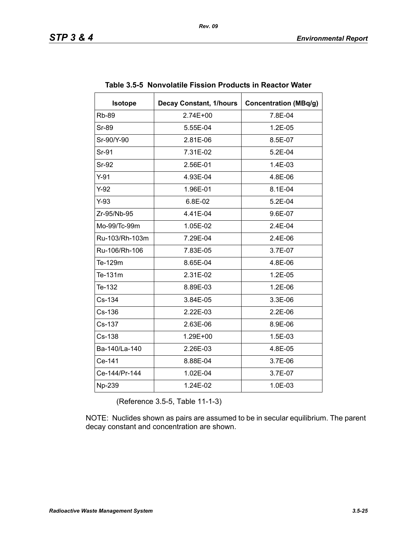| <b>Isotope</b> | <b>Decay Constant, 1/hours</b> | <b>Concentration (MBq/g)</b> |
|----------------|--------------------------------|------------------------------|
| <b>Rb-89</b>   | 2.74E+00                       | 7.8E-04                      |
| Sr-89          | 5.55E-04                       | $1.2E-05$                    |
| Sr-90/Y-90     | 2.81E-06                       | 8.5E-07                      |
| Sr-91          | 7.31E-02                       | 5.2E-04                      |
| <b>Sr-92</b>   | 2.56E-01                       | 1.4E-03                      |
| $Y-91$         | 4.93E-04                       | 4.8E-06                      |
| $Y-92$         | 1.96E-01                       | 8.1E-04                      |
| $Y-93$         | 6.8E-02                        | $5.2E-04$                    |
| Zr-95/Nb-95    | 4.41E-04                       | 9.6E-07                      |
| Mo-99/Tc-99m   | 1.05E-02                       | $2.4E-04$                    |
| Ru-103/Rh-103m | 7.29E-04                       | 2.4E-06                      |
| Ru-106/Rh-106  | 7.83E-05                       | 3.7E-07                      |
| Te-129m        | 8.65E-04                       | 4.8E-06                      |
| Te-131m        | 2.31E-02                       | 1.2E-05                      |
| Te-132         | 8.89E-03                       | 1.2E-06                      |
| Cs-134         | 3.84E-05                       | 3.3E-06                      |
| Cs-136         | 2.22E-03                       | 2.2E-06                      |
| Cs-137         | 2.63E-06                       | 8.9E-06                      |
| Cs-138         | 1.29E+00                       | 1.5E-03                      |
| Ba-140/La-140  | 2.26E-03                       | 4.8E-05                      |
| Ce-141         | 8.88E-04                       | 3.7E-06                      |
| Ce-144/Pr-144  | 1.02E-04                       | 3.7E-07                      |
| Np-239         | 1.24E-02                       | 1.0E-03                      |

#### **Table 3.5-5 Nonvolatile Fission Products in Reactor Water**

(Reference 3.5-5, Table 11-1-3)

NOTE: Nuclides shown as pairs are assumed to be in secular equilibrium. The parent decay constant and concentration are shown.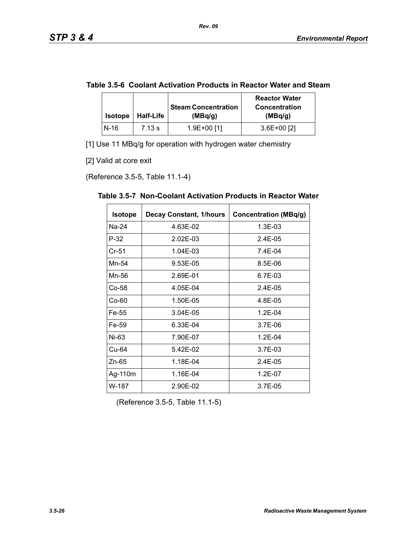|  | Table 3.5-6 Coolant Activation Products in Reactor Water and Steam |  |
|--|--------------------------------------------------------------------|--|
|--|--------------------------------------------------------------------|--|

| <b>Isotope</b> | <b>Half-Life</b> | <b>Steam Concentration</b><br>(MBq/g) | <b>Reactor Water</b><br><b>Concentration</b><br>(MBq/g) |
|----------------|------------------|---------------------------------------|---------------------------------------------------------|
| $N-16$         | 7.13 s           | 1.9E+00 [1]                           | $3.6E+00$ [2]                                           |

[1] Use 11 MBq/g for operation with hydrogen water chemistry

[2] Valid at core exit

(Reference 3.5-5, Table 11.1-4)

| <b>Isotope</b> | <b>Decay Constant, 1/hours</b> | <b>Concentration (MBq/g)</b> |
|----------------|--------------------------------|------------------------------|
| Na-24          | 4.63E-02                       | 1.3E-03                      |
| $P-32$         | 2.02E-03                       | 2.4E-05                      |
| $Cr-51$        | 1.04E-03                       | 7.4E-04                      |
| Mn-54          | 9.53E-05                       | 8.5E-06                      |
| Mn-56          | 2.69E-01                       | 6.7E-03                      |
| Co-58          | 4.05E-04                       | 2.4E-05                      |
| $Co-60$        | 1.50E-05                       | 4.8E-05                      |
| Fe-55          | 3.04E-05                       | $1.2E - 04$                  |
| Fe-59          | 6.33E-04                       | $3.7E-06$                    |
| Ni-63          | 7.90E-07                       | $1.2E - 04$                  |
| Cu-64          | 5.42E-02                       | 3.7E-03                      |
| $Zn-65$        | 1.18E-04                       | $2.4E-0.5$                   |
| Ag-110m        | 1.16E-04                       | 1.2E-07                      |
| W-187          | 2.90E-02                       | 3.7E-05                      |

**Table 3.5-7 Non-Coolant Activation Products in Reactor Water** 

(Reference 3.5-5, Table 11.1-5)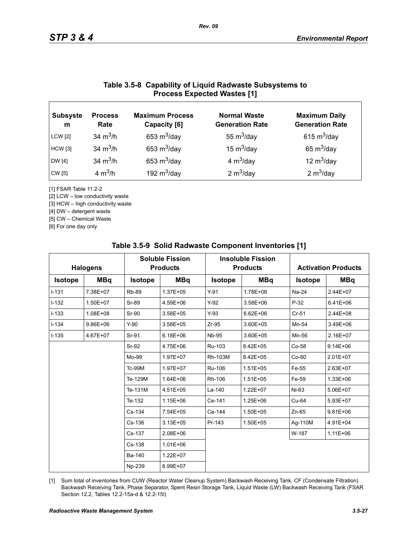### **Table 3.5-8 Capability of Liquid Radwaste Subsystems to Process Expected Wastes [1]**

| <b>Subsyste</b><br>m | <b>Process</b><br>Rate | <b>Maximum Process</b><br>Capacity [6] | <b>Normal Waste</b><br><b>Generation Rate</b> | <b>Maximum Daily</b><br><b>Generation Rate</b> |
|----------------------|------------------------|----------------------------------------|-----------------------------------------------|------------------------------------------------|
| <b>LCW</b> [2]       | 34 $m^3/h$             | 653 $m^3$ /day                         | 55 $m^3$ /day                                 | 615 $m^3$ /day                                 |
| <b>HCW</b> [3]       | 34 $m^3/h$             | 653 $m^3$ /day                         | 15 $m^3$ /day                                 | 65 $m^3$ /day                                  |
| DW [4]               | 34 $m^3/h$             | 653 $m^3$ /day                         | 4 $m^3$ /day                                  | 12 $m^3$ /day                                  |
| CW [5]               | 4 $m^3/h$              | 192 $m^3$ /day                         | 2 $m^3$ /day                                  | 2 $m^3$ /day                                   |

[1] FSAR Table 11.2-2

[2] LCW – low conductivity waste

[3] HCW – high conductivity waste

[4] DW – detergent waste

[5] CW – Chemical Waste

[6] For one day only

| <b>Halogens</b> |              | <b>Soluble Fission</b><br><b>Products</b> |              |                | <b>Insoluble Fission</b><br><b>Products</b> |                | <b>Activation Products</b> |  |
|-----------------|--------------|-------------------------------------------|--------------|----------------|---------------------------------------------|----------------|----------------------------|--|
| <b>Isotope</b>  | <b>MBq</b>   | <b>Isotope</b>                            | <b>MBq</b>   | <b>Isotope</b> | <b>MBq</b>                                  | <b>Isotope</b> | <b>MBq</b>                 |  |
| $I - 131$       | 7.38E+07     | <b>Rb-89</b>                              | 1.37E+05     | $Y-91$         | 1.78E+06                                    | Na-24          | 2.44E+07                   |  |
| $I-132$         | 1.50E+07     | Sr-89                                     | 4.59E+06     | $Y-92$         | 3.58E+06                                    | $P-32$         | $6.41E + 06$               |  |
| $I-133$         | 1.08E+08     | Sr-90                                     | $3.58E + 05$ | $Y-93$         | $6.62E + 06$                                | $Cr-51$        | $2.44E + 08$               |  |
| $I - 134$       | $9.86E + 06$ | $Y-90$                                    | 3.58E+05     | $Zr-95$        | 3.60E+05                                    | Mn-54          | 3.49E+06                   |  |
| $I-135$         | 4.67E+07     | Sr-91                                     | $6.18E + 06$ | <b>Nb-95</b>   | 3.60E+05                                    | Mn-56          | 2.16E+07                   |  |
|                 |              | Sr-92                                     | 4.75E+06     | Ru-103         | 8.42E+05                                    | Co-58          | $9.14E + 06$               |  |
|                 |              | Mo-99                                     | 1.97E+07     | Rh-103M        | 8.42E+05                                    | $Co-60$        | 2.01E+07                   |  |
|                 |              | Tc-99M                                    | 1.97E+07     | Ru-106         | $1.51E + 05$                                | Fe-55          | 2.63E+07                   |  |
|                 |              | Te-129M                                   | $1.64E + 06$ | Rh-106         | $1.51E + 05$                                | Fe-59          | 1.33E+06                   |  |
|                 |              | Te-131M                                   | 4.51E+05     | La-140         | $1.22E + 07$                                | Ni-63          | 5.06E+07                   |  |
|                 |              | Te-132                                    | 1.15E+06     | Ce-141         | 1.25E+06                                    | Cu-64          | 5.93E+07                   |  |
|                 |              | Cs-134                                    | 7.54E+05     | Ce-144         | 1.50E+05                                    | $Zn-65$        | $9.81E + 06$               |  |
|                 |              | Cs-136                                    | $3.13E + 05$ | Pr-143         | 1.50E+05                                    | Ag-110M        | 4.91E+04                   |  |
|                 |              | Cs-137                                    | 2.08E+06     |                |                                             | W-187          | $1.11E + 06$               |  |
|                 |              | Cs-138                                    | $1.01E + 06$ |                |                                             |                |                            |  |
|                 |              | Ba-140                                    | 1.22E+07     |                |                                             |                |                            |  |
|                 |              | Np-239                                    | 6.99E+07     |                |                                             |                |                            |  |

#### **Table 3.5-9 Solid Radwaste Component Inventories [1]**

[1] Sum total of inventories from CUW (Reactor Water Cleanup System) Backwash Receiving Tank, CF (Condensate Filtration) Backwash Receiving Tank, Phase Separator, Spent Resin Storage Tank, Liquid Waste (LW) Backwash Receiving Tank (FSAR Section 12.2, Tables 12.2-15a-d & 12.2-15l)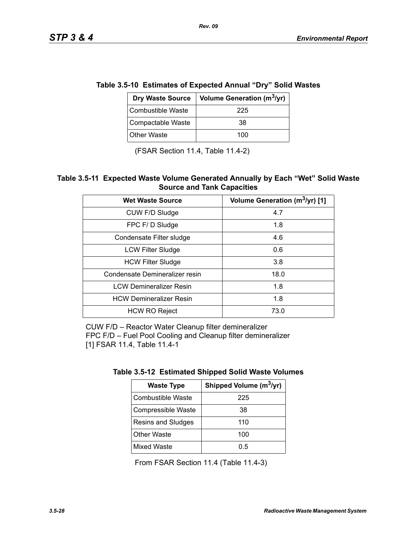| e 5.5-10 ESUMates of Expected Annual TDry Solid Was |                                        |  |
|-----------------------------------------------------|----------------------------------------|--|
| <b>Dry Waste Source</b>                             | Volume Generation (m <sup>3</sup> /yr) |  |
| Combustible Waste                                   | 225                                    |  |
| Compactable Waste                                   | 38                                     |  |
| <b>Other Waste</b>                                  | 100                                    |  |

**Table 3.5-10 Estimates of Expected Annual "Dry" Solid Wastes** 

(FSAR Section 11.4, Table 11.4-2)

#### **Table 3.5-11 Expected Waste Volume Generated Annually by Each "Wet" Solid Waste Source and Tank Capacities**

| <b>Wet Waste Source</b>        | Volume Generation (m <sup>3</sup> /yr) [1] |
|--------------------------------|--------------------------------------------|
| CUW F/D Sludge                 | 4.7                                        |
| FPC F/D Sludge                 | 1.8                                        |
| Condensate Filter sludge       | 4.6                                        |
| <b>LCW Filter Sludge</b>       | 0.6                                        |
| <b>HCW Filter Sludge</b>       | 3.8                                        |
| Condensate Demineralizer resin | 18.0                                       |
| <b>LCW Demineralizer Resin</b> | 1.8                                        |
| <b>HCW Demineralizer Resin</b> | 1.8                                        |
| <b>HCW RO Reject</b>           | 73.0                                       |

CUW F/D – Reactor Water Cleanup filter demineralizer FPC F/D – Fuel Pool Cooling and Cleanup filter demineralizer [1] FSAR 11.4, Table 11.4-1

| <b>Waste Type</b>        | Shipped Volume (m <sup>3</sup> /yr) |
|--------------------------|-------------------------------------|
| <b>Combustible Waste</b> | 225                                 |
| Compressible Waste       | 38                                  |
| Resins and Sludges       | 110                                 |
| <b>Other Waste</b>       | 100                                 |
| <b>Mixed Waste</b>       | 0.5                                 |

From FSAR Section 11.4 (Table 11.4-3)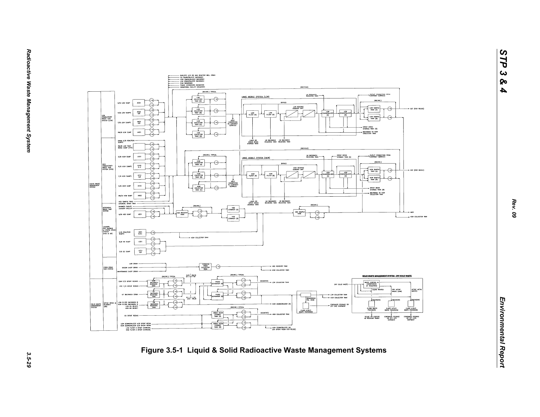